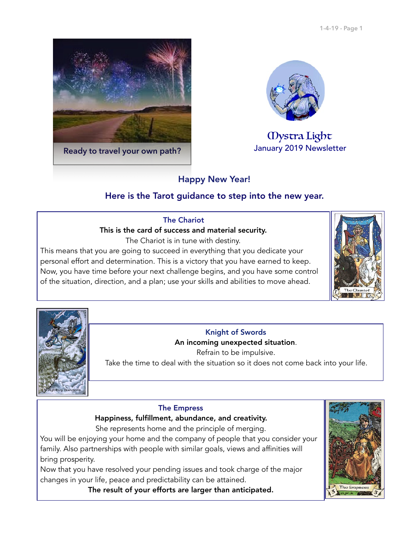



# Mystra Light

# Happy New Year!

# Here is the Tarot guidance to step into the new year.

## The Chariot

## This is the card of success and material security.

The Chariot is in tune with destiny.

This means that you are going to succeed in everything that you dedicate your personal effort and determination. This is a victory that you have earned to keep. Now, you have time before your next challenge begins, and you have some control of the situation, direction, and a plan; use your skills and abilities to move ahead.





# Knight of Swords

## An incoming unexpected situation.

Refrain to be impulsive.

Take the time to deal with the situation so it does not come back into your life.

#### The Empress

## Happiness, fulfillment, abundance, and creativity.

She represents home and the principle of merging.

You will be enjoying your home and the company of people that you consider your family. Also partnerships with people with similar goals, views and affinities will bring prosperity.

Now that you have resolved your pending issues and took charge of the major changes in your life, peace and predictability can be attained.

The result of your efforts are larger than anticipated.